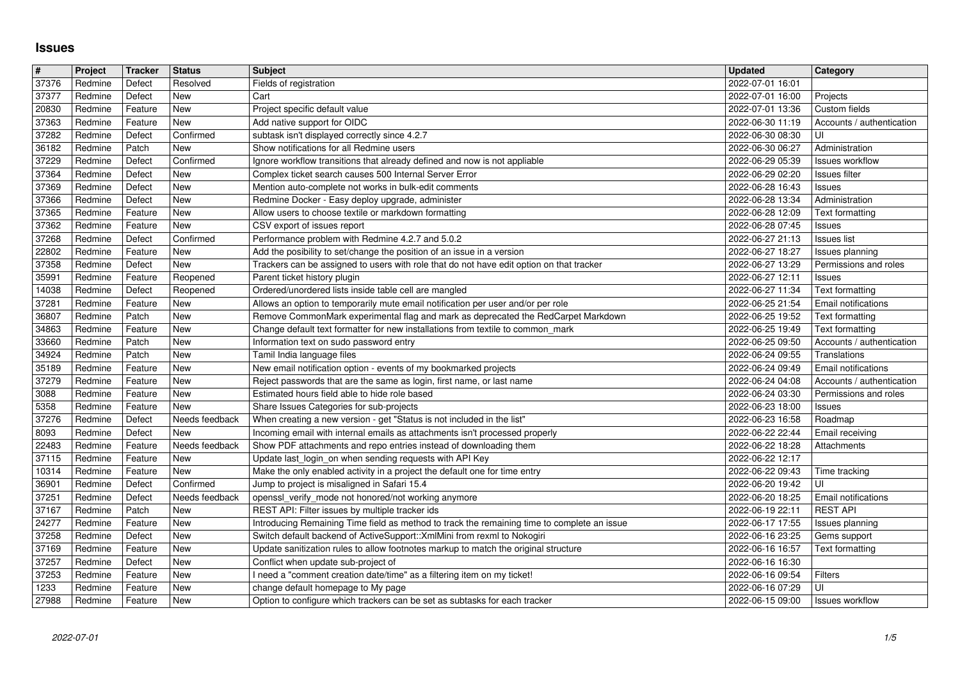## **Issues**

| #              | Project            | Tracker            | <b>Status</b>                | <b>Subject</b>                                                                                                                                        | <b>Updated</b>                       | Category                                         |
|----------------|--------------------|--------------------|------------------------------|-------------------------------------------------------------------------------------------------------------------------------------------------------|--------------------------------------|--------------------------------------------------|
| 37376<br>37377 | Redmine<br>Redmine | Defect<br>Defect   | Resolved<br>New              | Fields of registration<br>Cart                                                                                                                        | 2022-07-01 16:01<br>2022-07-01 16:00 | Projects                                         |
| 20830          | Redmine            | Feature            | New                          | Project specific default value                                                                                                                        | 2022-07-01 13:36                     | Custom fields                                    |
| 37363          | Redmine            | Feature            | <b>New</b>                   | Add native support for OIDC                                                                                                                           | 2022-06-30 11:19                     | Accounts / authentication                        |
| 37282<br>36182 | Redmine<br>Redmine | Defect<br>Patch    | Confirmed<br>New             | subtask isn't displayed correctly since 4.2.7<br>Show notifications for all Redmine users                                                             | 2022-06-30 08:30<br>2022-06-30 06:27 | UI<br>Administration                             |
| 37229          | Redmine            | Defect             | Confirmed                    | Ignore workflow transitions that already defined and now is not appliable                                                                             | 2022-06-29 05:39                     | <b>Issues workflow</b>                           |
| 37364          | Redmine            | Defect             | New<br>New                   | Complex ticket search causes 500 Internal Server Error                                                                                                | 2022-06-29 02:20                     | <b>Issues filter</b>                             |
| 37369<br>37366 | Redmine<br>Redmine | Defect<br>Defect   | New                          | Mention auto-complete not works in bulk-edit comments<br>Redmine Docker - Easy deploy upgrade, administer                                             | 2022-06-28 16:43<br>2022-06-28 13:34 | Issues<br>Administration                         |
| 37365          | Redmine            | Feature            | New                          | Allow users to choose textile or markdown formatting                                                                                                  | 2022-06-28 12:09                     | Text formatting                                  |
| 37362<br>37268 | Redmine<br>Redmine | Feature<br>Defect  | <b>New</b><br>Confirmed      | CSV export of issues report<br>Performance problem with Redmine 4.2.7 and 5.0.2                                                                       | 2022-06-28 07:45<br>2022-06-27 21:13 | Issues<br><b>Issues list</b>                     |
| 22802          | Redmine            | Feature            | New                          | Add the posibility to set/change the position of an issue in a version                                                                                | 2022-06-27 18:27                     | Issues planning                                  |
| 37358          | Redmine            | Defect             | New                          | Trackers can be assigned to users with role that do not have edit option on that tracker                                                              | 2022-06-27 13:29                     | Permissions and roles                            |
| 35991<br>14038 | Redmine<br>Redmine | Feature<br>Defect  | Reopened<br>Reopened         | Parent ticket history plugin<br>Ordered/unordered lists inside table cell are mangled                                                                 | 2022-06-27 12:11<br>2022-06-27 11:34 | Issues<br>Text formatting                        |
| 37281          | Redmine            | Feature            | New                          | Allows an option to temporarily mute email notification per user and/or per role                                                                      | 2022-06-25 21:54                     | Email notifications                              |
| 36807          | Redmine            | Patch              | New                          | Remove CommonMark experimental flag and mark as deprecated the RedCarpet Markdown                                                                     | 2022-06-25 19:52                     | Text formatting                                  |
| 34863<br>33660 | Redmine<br>Redmine | Feature<br>Patch   | <b>New</b><br>New            | Change default text formatter for new installations from textile to common_mark<br>Information text on sudo password entry                            | 2022-06-25 19:49<br>2022-06-25 09:50 | Text formatting<br>Accounts / authentication     |
| 34924          | Redmine            | Patch              | New                          | Tamil India language files                                                                                                                            | 2022-06-24 09:55                     | Translations                                     |
| 35189<br>37279 | Redmine<br>Redmine | Feature<br>Feature | New<br>New                   | New email notification option - events of my bookmarked projects<br>Reject passwords that are the same as login, first name, or last name             | 2022-06-24 09:49<br>2022-06-24 04:08 | Email notifications<br>Accounts / authentication |
| 3088           | Redmine            | Feature            | New                          | Estimated hours field able to hide role based                                                                                                         | 2022-06-24 03:30                     | Permissions and roles                            |
| 5358           | Redmine            | Feature            | New                          | Share Issues Categories for sub-projects                                                                                                              | 2022-06-23 18:00                     | Issues                                           |
| 37276<br>8093  | Redmine<br>Redmine | Defect<br>Defect   | Needs feedback<br><b>New</b> | When creating a new version - get "Status is not included in the list"<br>Incoming email with internal emails as attachments isn't processed properly | 2022-06-23 16:58<br>2022-06-22 22:44 | Roadmap<br>Email receiving                       |
| 22483          | Redmine            | Feature            | Needs feedback               | Show PDF attachments and repo entries instead of downloading them                                                                                     | 2022-06-22 18:28                     | Attachments                                      |
| 37115<br>10314 | Redmine<br>Redmine | Feature<br>Feature | New<br>New                   | Update last_login_on when sending requests with API Key<br>Make the only enabled activity in a project the default one for time entry                 | 2022-06-22 12:17<br>2022-06-22 09:43 | Time tracking                                    |
| 36901          | Redmine            | Defect             | Confirmed                    | Jump to project is misaligned in Safari 15.4                                                                                                          | 2022-06-20 19:42                     | UI                                               |
| 37251          | Redmine            | Defect             | Needs feedback               | openssl_verify_mode not honored/not working anymore                                                                                                   | 2022-06-20 18:25                     | Email notifications                              |
| 37167<br>24277 | Redmine<br>Redmine | Patch<br>Feature   | New<br><b>New</b>            | REST API: Filter issues by multiple tracker ids<br>Introducing Remaining Time field as method to track the remaining time to complete an issue        | 2022-06-19 22:11<br>2022-06-17 17:55 | <b>REST API</b><br>Issues planning               |
| 37258          | Redmine            | Defect             | New                          | Switch default backend of ActiveSupport:: XmlMini from rexml to Nokogiri                                                                              | 2022-06-16 23:25                     | Gems support                                     |
| 37169          | Redmine            | Feature            | New                          | Update sanitization rules to allow footnotes markup to match the original structure                                                                   | 2022-06-16 16:57<br>2022-06-16 16:30 | Text formatting                                  |
| 37257<br>37253 | Redmine<br>Redmine | Defect<br>Feature  | New<br>New                   | Conflict when update sub-project of<br>I need a "comment creation date/time" as a filtering item on my ticket!                                        | 2022-06-16 09:54                     | Filters                                          |
| 1233<br>27988  | Redmine<br>Redmine | Feature<br>Feature | <b>New</b><br>New            | change default homepage to My page<br>Option to configure which trackers can be set as subtasks for each tracker                                      | 2022-06-16 07:29<br>2022-06-15 09:00 | UI<br>Issues workflow                            |
|                |                    |                    |                              |                                                                                                                                                       |                                      |                                                  |
|                |                    |                    |                              |                                                                                                                                                       |                                      |                                                  |
|                |                    |                    |                              |                                                                                                                                                       |                                      |                                                  |
|                |                    |                    |                              |                                                                                                                                                       |                                      |                                                  |
|                |                    |                    |                              |                                                                                                                                                       |                                      |                                                  |
|                |                    |                    |                              |                                                                                                                                                       |                                      |                                                  |
|                |                    |                    |                              |                                                                                                                                                       |                                      |                                                  |
|                |                    |                    |                              |                                                                                                                                                       |                                      |                                                  |
|                |                    |                    |                              |                                                                                                                                                       |                                      |                                                  |
|                |                    |                    |                              |                                                                                                                                                       |                                      |                                                  |
|                |                    |                    |                              |                                                                                                                                                       |                                      |                                                  |
|                |                    |                    |                              |                                                                                                                                                       |                                      |                                                  |
|                |                    |                    |                              |                                                                                                                                                       |                                      |                                                  |
|                |                    |                    |                              |                                                                                                                                                       |                                      |                                                  |
|                |                    |                    |                              |                                                                                                                                                       |                                      |                                                  |
|                |                    |                    |                              |                                                                                                                                                       |                                      |                                                  |
|                |                    |                    |                              |                                                                                                                                                       |                                      |                                                  |
|                |                    |                    |                              |                                                                                                                                                       |                                      |                                                  |
|                |                    |                    |                              |                                                                                                                                                       |                                      |                                                  |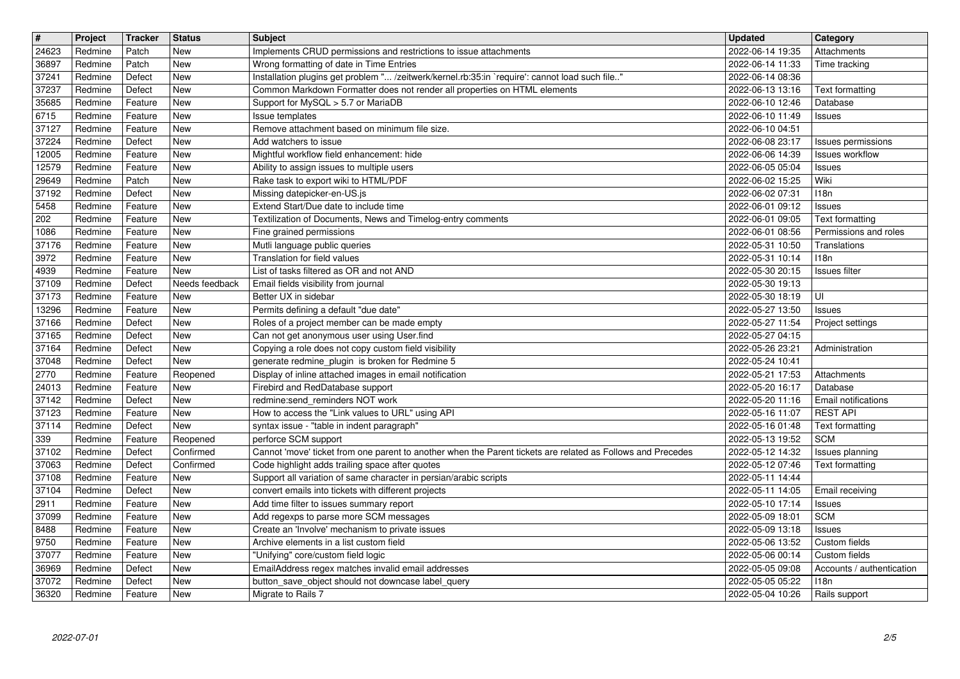| $\overline{\mathbf{t}}$  | Project            | Tracker            | <b>Status</b>           | <b>Subject</b>                                                                                                       | <b>Updated</b>                       | Category                           |
|--------------------------|--------------------|--------------------|-------------------------|----------------------------------------------------------------------------------------------------------------------|--------------------------------------|------------------------------------|
| 24623<br>36897           | Redmine<br>Redmine | Patch<br>Patch     | New<br><b>New</b>       | Implements CRUD permissions and restrictions to issue attachments<br>Wrong formatting of date in Time Entries        | 2022-06-14 19:35<br>2022-06-14 11:33 | Attachments<br>Time tracking       |
| 37241                    | Redmine            | Defect             | <b>New</b>              | Installation plugins get problem " /zeitwerk/kernel.rb:35:in `require': cannot load such file"                       | 2022-06-14 08:36                     |                                    |
| 37237                    | Redmine            | Defect             | <b>New</b>              | Common Markdown Formatter does not render all properties on HTML elements                                            | 2022-06-13 13:16                     | Text formatting                    |
| 35685<br>6715            | Redmine<br>Redmine | Feature<br>Feature | New<br>New              | Support for MySQL > 5.7 or MariaDB<br>Issue templates                                                                | 2022-06-10 12:46<br>2022-06-10 11:49 | Database<br><b>Issues</b>          |
| 37127                    | Redmine            | Feature            | New                     | Remove attachment based on minimum file size.                                                                        | 2022-06-10 04:51                     |                                    |
| 37224                    | Redmine            | Defect             | New                     | Add watchers to issue                                                                                                | 2022-06-08 23:17                     | Issues permissions                 |
| 12005<br>12579           | Redmine<br>Redmine | Feature<br>Feature | New<br>New              | Mightful workflow field enhancement: hide<br>Ability to assign issues to multiple users                              | 2022-06-06 14:39<br>2022-06-05 05:04 | Issues workflow<br><b>Issues</b>   |
| 29649                    | Redmine            | Patch              | <b>New</b>              | Rake task to export wiki to HTML/PDF                                                                                 | 2022-06-02 15:25                     | Wiki                               |
| 37192                    | Redmine            | Defect             | <b>New</b>              | Missing datepicker-en-US.js                                                                                          | 2022-06-02 07:31                     | 118n                               |
| 5458<br>$\sqrt{202}$     | Redmine<br>Redmine | Feature<br>Feature | New<br>New              | Extend Start/Due date to include time<br>Textilization of Documents, News and Timelog-entry comments                 | 2022-06-01 09:12<br>2022-06-01 09:05 | <b>Issues</b><br>Text formatting   |
| 1086                     | Redmine            | Feature            | <b>New</b>              | Fine grained permissions                                                                                             | 2022-06-01 08:56                     | Permissions and roles              |
| 37176                    | Redmine            | Feature            | <b>New</b>              | Mutli language public queries                                                                                        | 2022-05-31 10:50                     | Translations                       |
| 3972<br>4939             | Redmine<br>Redmine | Feature<br>Feature | New<br>New              | Translation for field values<br>List of tasks filtered as OR and not AND                                             | 2022-05-31 10:14<br>2022-05-30 20:15 | 118n<br>Issues filter              |
| 37109                    | Redmine            | Defect             | Needs feedback          | Email fields visibility from journal                                                                                 | 2022-05-30 19:13                     |                                    |
| 37173                    | Redmine            | Feature            | <b>New</b>              | Better UX in sidebar                                                                                                 | 2022-05-30 18:19                     | UI                                 |
| 13296<br>37166           | Redmine<br>Redmine | Feature<br>Defect  | New<br><b>New</b>       | Permits defining a default "due date"<br>Roles of a project member can be made empty                                 | 2022-05-27 13:50<br>2022-05-27 11:54 | <b>Issues</b><br>Project settings  |
| 37165                    | Redmine            | Defect             | <b>New</b>              | Can not get anonymous user using User.find                                                                           | 2022-05-27 04:15                     |                                    |
| 37164                    | Redmine            | Defect             | <b>New</b>              | Copying a role does not copy custom field visibility                                                                 | 2022-05-26 23:21                     | Administration                     |
| 37048<br>2770            | Redmine<br>Redmine | Defect<br>Feature  | <b>New</b><br>Reopened  | generate redmine_plugin_is broken for Redmine 5<br>Display of inline attached images in email notification           | 2022-05-24 10:41<br>2022-05-21 17:53 | Attachments                        |
| 24013                    | Redmine            | Feature            | <b>New</b>              | Firebird and RedDatabase support                                                                                     | 2022-05-20 16:17                     | Database                           |
| 37142                    | Redmine            | Defect             | New                     | redmine:send_reminders NOT work                                                                                      | 2022-05-20 11:16                     | Email notifications                |
| 37123<br>$\boxed{37114}$ | Redmine<br>Redmine | Feature<br>Defect  | New<br><b>New</b>       | How to access the "Link values to URL" using API<br>syntax issue - "table in indent paragraph"                       | 2022-05-16 11:07<br>2022-05-16 01:48 | <b>REST API</b><br>Text formatting |
| 339                      | Redmine            | Feature            | Reopened                | perforce SCM support                                                                                                 | 2022-05-13 19:52                     | <b>SCM</b>                         |
| 37102                    | Redmine            | Defect             | Confirmed               | Cannot 'move' ticket from one parent to another when the Parent tickets are related as Follows and Precedes          | 2022-05-12 14:32                     | Issues planning                    |
| 37063<br>37108           | Redmine<br>Redmine | Defect<br>Feature  | Confirmed<br><b>New</b> | Code highlight adds trailing space after quotes<br>Support all variation of same character in persian/arabic scripts | 2022-05-12 07:46<br>2022-05-11 14:44 | Text formatting                    |
| 37104                    | Redmine            | Defect             | New                     | convert emails into tickets with different projects                                                                  | 2022-05-11 14:05                     | Email receiving                    |
| 2911                     | Redmine            | Feature            | <b>New</b>              | Add time filter to issues summary report                                                                             | 2022-05-10 17:14                     | <b>Issues</b>                      |
| 37099                    | Redmine            | Feature            | New<br>New              | Add regexps to parse more SCM messages                                                                               | 2022-05-09 18:01                     | <b>SCM</b>                         |
| 8488<br>9750             | Redmine<br>Redmine | Feature<br>Feature | New                     | Create an 'Involve' mechanism to private issues<br>Archive elements in a list custom field                           | 2022-05-09 13:18<br>2022-05-06 13:52 | <b>Issues</b><br>Custom fields     |
| 37077                    | Redmine            | Feature            | <b>New</b>              | "Unifying" core/custom field logic                                                                                   | 2022-05-06 00:14                     | Custom fields                      |
| 36969                    | Redmine            | Defect             | New                     | EmailAddress regex matches invalid email addresses                                                                   | 2022-05-05 09:08                     | Accounts / authentication          |
| 37072<br>36320           | Redmine<br>Redmine | Defect<br>Feature  | New<br>New              | button_save_object should not downcase label_query<br>Migrate to Rails 7                                             | 2022-05-05 05:22<br>2022-05-04 10:26 | 118n<br>Rails support              |
|                          |                    |                    |                         |                                                                                                                      |                                      |                                    |
|                          |                    |                    |                         |                                                                                                                      |                                      |                                    |
|                          |                    |                    |                         |                                                                                                                      |                                      |                                    |
|                          |                    |                    |                         |                                                                                                                      |                                      |                                    |
|                          |                    |                    |                         |                                                                                                                      |                                      |                                    |
|                          |                    |                    |                         |                                                                                                                      |                                      |                                    |
|                          |                    |                    |                         |                                                                                                                      |                                      |                                    |
|                          |                    |                    |                         |                                                                                                                      |                                      |                                    |
|                          |                    |                    |                         |                                                                                                                      |                                      |                                    |
|                          |                    |                    |                         |                                                                                                                      |                                      |                                    |
|                          |                    |                    |                         |                                                                                                                      |                                      |                                    |
|                          |                    |                    |                         |                                                                                                                      |                                      |                                    |
|                          |                    |                    |                         |                                                                                                                      |                                      |                                    |
|                          |                    |                    |                         |                                                                                                                      |                                      |                                    |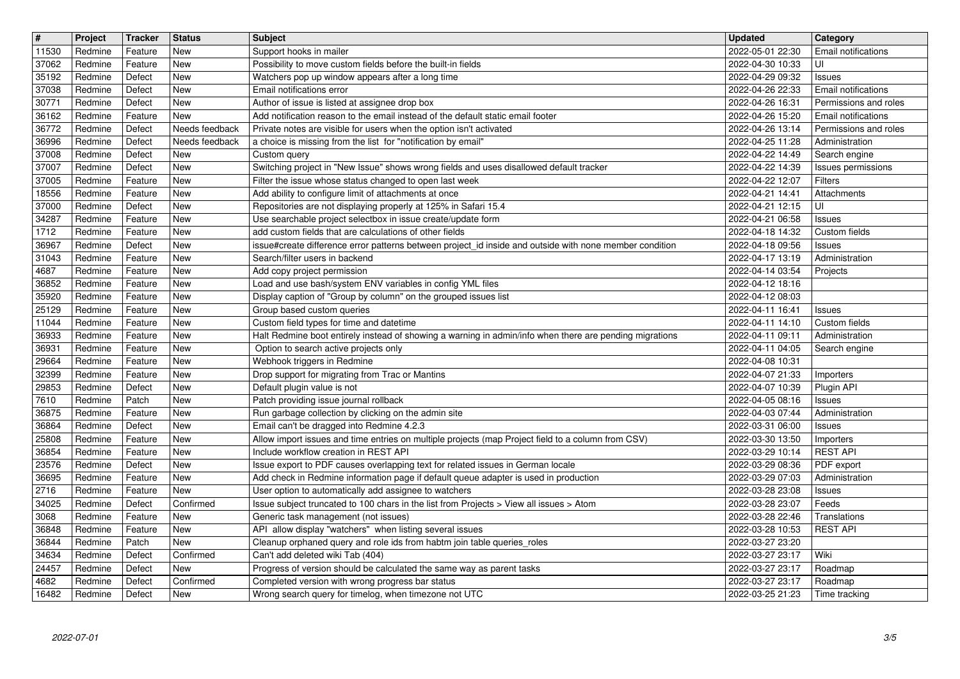| $\overline{\boldsymbol{H}}$<br>11530 | Project<br>Redmine | Tracker<br>Feature | <b>Status</b><br>New     | <b>Subject</b>                                                                                                                                         | <b>Updated</b><br>2022-05-01 22:30   | <b>Category</b><br>Email notifications       |
|--------------------------------------|--------------------|--------------------|--------------------------|--------------------------------------------------------------------------------------------------------------------------------------------------------|--------------------------------------|----------------------------------------------|
| 37062                                | Redmine            | Feature            | New                      | Support hooks in mailer<br>Possibility to move custom fields before the built-in fields                                                                | 2022-04-30 10:33                     | UI                                           |
| 35192<br>37038                       | Redmine<br>Redmine | Defect<br>Defect   | <b>New</b><br>New        | Watchers pop up window appears after a long time<br>Email notifications error                                                                          | 2022-04-29 09:32<br>2022-04-26 22:33 | Issues<br>Email notifications                |
| 30771                                | Redmine            | Defect             | New                      | Author of issue is listed at assignee drop box                                                                                                         | 2022-04-26 16:31                     | Permissions and roles                        |
| 36162<br>36772                       | Redmine<br>Redmine | Feature<br>Defect  | New<br>Needs feedback    | Add notification reason to the email instead of the default static email footer<br>Private notes are visible for users when the option isn't activated | 2022-04-26 15:20<br>2022-04-26 13:14 | Email notifications<br>Permissions and roles |
| 36996                                | Redmine            | Defect             | Needs feedback           | a choice is missing from the list for "notification by email"                                                                                          | 2022-04-25 11:28                     | Administration                               |
| 37008<br>37007                       | Redmine<br>Redmine | Defect<br>Defect   | New<br>New               | Custom query<br>Switching project in "New Issue" shows wrong fields and uses disallowed default tracker                                                | 2022-04-22 14:49<br>2022-04-22 14:39 | Search engine<br>Issues permissions          |
| 37005                                | Redmine            | Feature            | New                      | Filter the issue whose status changed to open last week                                                                                                | 2022-04-22 12:07                     | Filters                                      |
| 18556<br>37000                       | Redmine<br>Redmine | Feature<br>Defect  | New<br>New               | Add ability to configure limit of attachments at once<br>Repositories are not displaying properly at 125% in Safari 15.4                               | 2022-04-21 14:41<br>2022-04-21 12:15 | Attachments<br>l UI                          |
| 34287<br>1712                        | Redmine<br>Redmine | Feature<br>Feature | New<br>New               | Use searchable project selectbox in issue create/update form<br>add custom fields that are calculations of other fields                                | 2022-04-21 06:58<br>2022-04-18 14:32 | Issues<br>Custom fields                      |
| 36967                                | Redmine            | Defect             | New                      | issue#create difference error patterns between project_id inside and outside with none member condition                                                | 2022-04-18 09:56                     | Issues                                       |
| 31043<br>4687                        | Redmine<br>Redmine | Feature<br>Feature | New<br><b>New</b>        | Search/filter users in backend<br>Add copy project permission                                                                                          | 2022-04-17 13:19<br>2022-04-14 03:54 | Administration<br>Projects                   |
| 36852                                | Redmine            | Feature            | <b>New</b>               | Load and use bash/system ENV variables in config YML files                                                                                             | 2022-04-12 18:16                     |                                              |
| 35920<br>25129                       | Redmine<br>Redmine | Feature<br>Feature | New<br><b>New</b>        | Display caption of "Group by column" on the grouped issues list<br>Group based custom queries                                                          | 2022-04-12 08:03<br>2022-04-11 16:41 | Issues                                       |
| 11044<br>36933                       | Redmine<br>Redmine | Feature<br>Feature | <b>New</b><br><b>New</b> | Custom field types for time and datetime                                                                                                               | 2022-04-11 14:10<br>2022-04-11 09:11 | Custom fields<br>Administration              |
| 36931                                | Redmine            | Feature            | New                      | Halt Redmine boot entirely instead of showing a warning in admin/info when there are pending migrations<br>Option to search active projects only       | 2022-04-11 04:05                     | Search engine                                |
| 29664<br>32399                       | Redmine<br>Redmine | Feature<br>Feature | New<br>New               | Webhook triggers in Redmine<br>Drop support for migrating from Trac or Mantins                                                                         | 2022-04-08 10:31<br>2022-04-07 21:33 | Importers                                    |
| 29853                                | Redmine            | Defect             | New                      | Default plugin value is not                                                                                                                            | 2022-04-07 10:39                     | Plugin API                                   |
| 7610<br>36875                        | Redmine<br>Redmine | Patch<br>Feature   | New<br>New               | Patch providing issue journal rollback<br>Run garbage collection by clicking on the admin site                                                         | 2022-04-05 08:16<br>2022-04-03 07:44 | Issues<br>Administration                     |
| 36864                                | Redmine            | Defect             | New                      | Email can't be dragged into Redmine 4.2.3                                                                                                              | 2022-03-31 06:00                     | Issues                                       |
| 25808<br>36854                       | Redmine<br>Redmine | Feature<br>Feature | New<br>New               | Allow import issues and time entries on multiple projects (map Project field to a column from CSV)<br>Include workflow creation in REST API            | 2022-03-30 13:50<br>2022-03-29 10:14 | Importers<br><b>REST API</b>                 |
| 23576                                | Redmine            | Defect             | New                      | Issue export to PDF causes overlapping text for related issues in German locale                                                                        | 2022-03-29 08:36                     | PDF export                                   |
| 36695<br>2716                        | Redmine<br>Redmine | Feature<br>Feature | New<br>New               | Add check in Redmine information page if default queue adapter is used in production<br>User option to automatically add assignee to watchers          | 2022-03-29 07:03<br>2022-03-28 23:08 | Administration<br>Issues                     |
| 34025<br>3068                        | Redmine<br>Redmine | Defect<br>Feature  | Confirmed<br>New         | Issue subject truncated to 100 chars in the list from Projects > View all issues > Atom<br>Generic task management (not issues)                        | 2022-03-28 23:07<br>2022-03-28 22:46 | Feeds<br>Translations                        |
| 36848                                | Redmine            | Feature            | New                      | API allow display "watchers" when listing several issues                                                                                               | 2022-03-28 10:53                     | <b>REST API</b>                              |
| 36844<br>34634                       | Redmine<br>Redmine | Patch<br>Defect    | New<br>Confirmed         | Cleanup orphaned query and role ids from habtm join table queries_roles<br>Can't add deleted wiki Tab (404)                                            | 2022-03-27 23:20<br>2022-03-27 23:17 | Wiki                                         |
| 24457                                | Redmine            | Defect             | New                      | Progress of version should be calculated the same way as parent tasks                                                                                  | 2022-03-27 23:17                     | Roadmap                                      |
| 4682<br>16482                        | Redmine<br>Redmine | Defect<br>Defect   | Confirmed<br>New         | Completed version with wrong progress bar status<br>Wrong search query for timelog, when timezone not UTC                                              | 2022-03-27 23:17<br>2022-03-25 21:23 | Roadmap<br>Time tracking                     |
|                                      |                    |                    |                          |                                                                                                                                                        |                                      |                                              |
|                                      |                    |                    |                          |                                                                                                                                                        |                                      |                                              |
|                                      |                    |                    |                          |                                                                                                                                                        |                                      |                                              |
|                                      |                    |                    |                          |                                                                                                                                                        |                                      |                                              |
|                                      |                    |                    |                          |                                                                                                                                                        |                                      |                                              |
|                                      |                    |                    |                          |                                                                                                                                                        |                                      |                                              |
|                                      |                    |                    |                          |                                                                                                                                                        |                                      |                                              |
|                                      |                    |                    |                          |                                                                                                                                                        |                                      |                                              |
|                                      |                    |                    |                          |                                                                                                                                                        |                                      |                                              |
|                                      |                    |                    |                          |                                                                                                                                                        |                                      |                                              |
|                                      |                    |                    |                          |                                                                                                                                                        |                                      |                                              |
|                                      |                    |                    |                          |                                                                                                                                                        |                                      |                                              |
|                                      |                    |                    |                          |                                                                                                                                                        |                                      |                                              |
|                                      |                    |                    |                          |                                                                                                                                                        |                                      |                                              |
|                                      |                    |                    |                          |                                                                                                                                                        |                                      |                                              |
|                                      |                    |                    |                          |                                                                                                                                                        |                                      |                                              |
|                                      |                    |                    |                          |                                                                                                                                                        |                                      |                                              |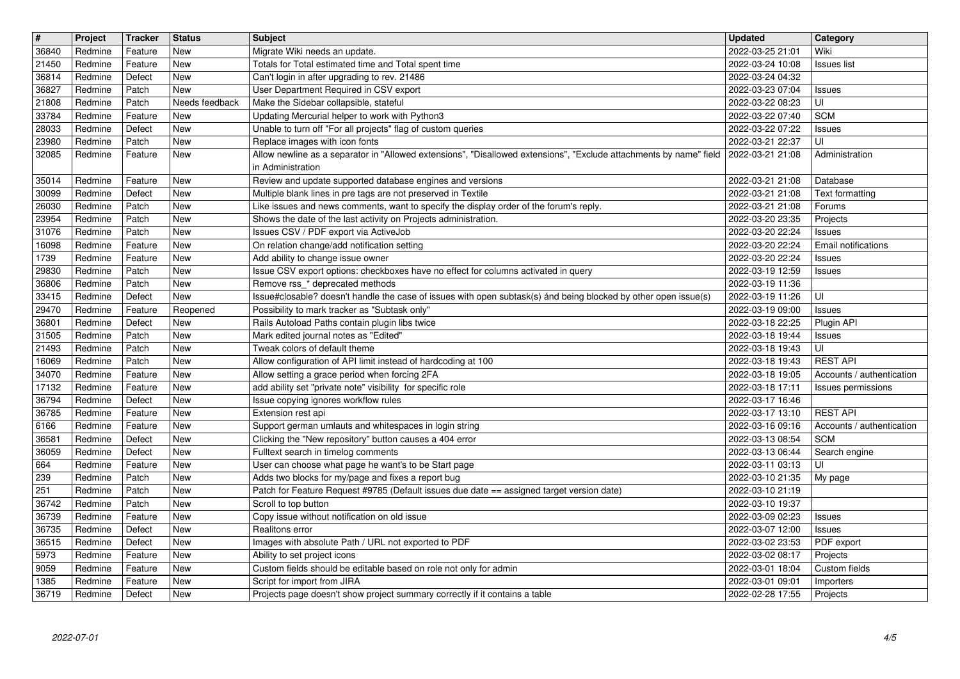| $\overline{\mathbf{t}}$ | Project            | <b>Tracker</b>     | <b>Status</b>                | Subject                                                                                                                                                          | <b>Updated</b>                       | <b>Category</b>                         |
|-------------------------|--------------------|--------------------|------------------------------|------------------------------------------------------------------------------------------------------------------------------------------------------------------|--------------------------------------|-----------------------------------------|
| 36840<br>21450          | Redmine<br>Redmine | Feature<br>Feature | <b>New</b><br><b>New</b>     | Migrate Wiki needs an update.<br>Totals for Total estimated time and Total spent time                                                                            | 2022-03-25 21:01<br>2022-03-24 10:08 | Wiki<br><b>Issues list</b>              |
| 36814                   | Redmine            | Defect             | <b>New</b>                   | Can't login in after upgrading to rev. 21486                                                                                                                     | 2022-03-24 04:32                     |                                         |
| 36827<br>21808          | Redmine<br>Redmine | Patch<br>Patch     | <b>New</b><br>Needs feedback | User Department Required in CSV export<br>Make the Sidebar collapsible, stateful                                                                                 | 2022-03-23 07:04<br>2022-03-22 08:23 | Issues<br>UI                            |
| 33784                   | Redmine            | Feature            | <b>New</b>                   | Updating Mercurial helper to work with Python3                                                                                                                   | 2022-03-22 07:40                     | <b>SCM</b>                              |
| 28033<br>23980          | Redmine<br>Redmine | Defect<br>Patch    | <b>New</b><br><b>New</b>     | Unable to turn off "For all projects" flag of custom queries<br>Replace images with icon fonts                                                                   | 2022-03-22 07:22<br>2022-03-21 22:37 | Issues<br>UI                            |
| 32085                   | Redmine            | Feature            | New                          | Allow newline as a separator in "Allowed extensions", "Disallowed extensions", "Exclude attachments by name" field   2022-03-21 21:08                            |                                      | Administration                          |
|                         |                    |                    | <b>New</b>                   | in Administration<br>Review and update supported database engines and versions                                                                                   |                                      |                                         |
| 35014<br>30099          | Redmine<br>Redmine | Feature<br>Defect  | <b>New</b>                   | Multiple blank lines in pre tags are not preserved in Textile                                                                                                    | 2022-03-21 21:08<br>2022-03-21 21:08 | Database<br><b>Text formatting</b>      |
| 26030                   | Redmine            | Patch              | <b>New</b>                   | Like issues and news comments, want to specify the display order of the forum's reply.                                                                           | 2022-03-21 21:08                     | Forums                                  |
| 23954<br>31076          | Redmine<br>Redmine | Patch<br>Patch     | <b>New</b><br><b>New</b>     | Shows the date of the last activity on Projects administration.<br>Issues CSV / PDF export via ActiveJob                                                         | 2022-03-20 23:35<br>2022-03-20 22:24 | Projects<br>Issues                      |
| 16098                   | Redmine            | Feature            | <b>New</b>                   | On relation change/add notification setting                                                                                                                      | 2022-03-20 22:24                     | Email notifications                     |
| 1739<br>29830           | Redmine<br>Redmine | Feature<br>Patch   | New<br><b>New</b>            | Add ability to change issue owner<br>Issue CSV export options: checkboxes have no effect for columns activated in query                                          | 2022-03-20 22:24<br>2022-03-19 12:59 | Issues<br>Issues                        |
| 36806                   | Redmine            | Patch              | <b>New</b>                   | Remove rss_* deprecated methods                                                                                                                                  | 2022-03-19 11:36                     |                                         |
| 33415<br>29470          | Redmine<br>Redmine | Defect<br>Feature  | <b>New</b>                   | Issue#closable? doesn't handle the case of issues with open subtask(s) ánd being blocked by other open issue(s)<br>Possibility to mark tracker as "Subtask only" | 2022-03-19 11:26<br>2022-03-19 09:00 | UI<br>Issues                            |
| 36801                   | Redmine            | Defect             | Reopened<br><b>New</b>       | Rails Autoload Paths contain plugin libs twice                                                                                                                   | 2022-03-18 22:25                     | Plugin API                              |
| 31505                   | Redmine            | Patch              | <b>New</b>                   | Mark edited journal notes as "Edited"                                                                                                                            | 2022-03-18 19:44                     | Issues                                  |
| 21493<br>16069          | Redmine<br>Redmine | Patch<br>Patch     | <b>New</b><br><b>New</b>     | Tweak colors of default theme<br>Allow configuration of API limit instead of hardcoding at 100                                                                   | 2022-03-18 19:43<br>2022-03-18 19:43 | UI<br><b>REST API</b>                   |
| 34070                   | Redmine            | Feature            | <b>New</b>                   | Allow setting a grace period when forcing 2FA                                                                                                                    | 2022-03-18 19:05                     | Accounts / authentication               |
| 17132<br>36794          | Redmine<br>Redmine | Feature<br>Defect  | <b>New</b><br><b>New</b>     | add ability set "private note" visibility for specific role<br>Issue copying ignores workflow rules                                                              | 2022-03-18 17:11<br>2022-03-17 16:46 | Issues permissions                      |
| 36785                   | Redmine            | Feature            | <b>New</b>                   | Extension rest api                                                                                                                                               | 2022-03-17 13:10                     | <b>REST API</b>                         |
| 6166                    | Redmine            | Feature            | <b>New</b><br><b>New</b>     | Support german umlauts and whitespaces in login string                                                                                                           | 2022-03-16 09:16                     | Accounts / authentication<br><b>SCM</b> |
| 36581<br>36059          | Redmine<br>Redmine | Defect<br>Defect   | <b>New</b>                   | Clicking the "New repository" button causes a 404 error<br>Fulltext search in timelog comments                                                                   | 2022-03-13 08:54<br>2022-03-13 06:44 | Search engine                           |
| 664                     | Redmine            | Feature            | <b>New</b>                   | User can choose what page he want's to be Start page                                                                                                             | 2022-03-11 03:13                     | UI                                      |
| 239<br>251              | Redmine<br>Redmine | Patch<br>Patch     | <b>New</b><br><b>New</b>     | Adds two blocks for my/page and fixes a report bug<br>Patch for Feature Request #9785 (Default issues due date == assigned target version date)                  | 2022-03-10 21:35<br>2022-03-10 21:19 | My page                                 |
| 36742                   | Redmine            | Patch              | <b>New</b>                   | Scroll to top button                                                                                                                                             | 2022-03-10 19:37                     |                                         |
| 36739<br>36735          | Redmine<br>Redmine | Feature<br>Defect  | <b>New</b><br>New            | Copy issue without notification on old issue<br>Realitons error                                                                                                  | 2022-03-09 02:23<br>2022-03-07 12:00 | Issues                                  |
| 36515                   | Redmine            | Defect             | New                          | Images with absolute Path / URL not exported to PDF                                                                                                              | 2022-03-02 23:53                     | Issues<br><b>PDF</b> export             |
| 5973                    | Redmine            | Feature            | New                          | Ability to set project icons                                                                                                                                     | 2022-03-02 08:17                     | Projects                                |
| 9059<br>1385            | Redmine<br>Redmine | Feature<br>Feature | New<br>New                   | Custom fields should be editable based on role not only for admin<br>Script for import from JIRA                                                                 | 2022-03-01 18:04<br>2022-03-01 09:01 | Custom fields<br>Importers              |
| 36719                   | Redmine            | Defect             | New                          | Projects page doesn't show project summary correctly if it contains a table                                                                                      | 2022-02-28 17:55                     | Projects                                |
|                         |                    |                    |                              |                                                                                                                                                                  |                                      |                                         |
|                         | 2022-07-01         |                    |                              |                                                                                                                                                                  |                                      | 4/5                                     |
|                         |                    |                    |                              |                                                                                                                                                                  |                                      |                                         |
|                         |                    |                    |                              |                                                                                                                                                                  |                                      |                                         |
|                         |                    |                    |                              |                                                                                                                                                                  |                                      |                                         |
|                         |                    |                    |                              |                                                                                                                                                                  |                                      |                                         |
|                         |                    |                    |                              |                                                                                                                                                                  |                                      |                                         |
|                         |                    |                    |                              |                                                                                                                                                                  |                                      |                                         |
|                         |                    |                    |                              |                                                                                                                                                                  |                                      |                                         |
|                         |                    |                    |                              |                                                                                                                                                                  |                                      |                                         |
|                         |                    |                    |                              |                                                                                                                                                                  |                                      |                                         |
|                         |                    |                    |                              |                                                                                                                                                                  |                                      |                                         |
|                         |                    |                    |                              |                                                                                                                                                                  |                                      |                                         |
|                         |                    |                    |                              |                                                                                                                                                                  |                                      |                                         |
|                         |                    |                    |                              |                                                                                                                                                                  |                                      |                                         |
|                         |                    |                    |                              |                                                                                                                                                                  |                                      |                                         |
|                         |                    |                    |                              |                                                                                                                                                                  |                                      |                                         |
|                         |                    |                    |                              |                                                                                                                                                                  |                                      |                                         |
|                         |                    |                    |                              |                                                                                                                                                                  |                                      |                                         |
|                         |                    |                    |                              |                                                                                                                                                                  |                                      |                                         |
|                         |                    |                    |                              |                                                                                                                                                                  |                                      |                                         |
|                         |                    |                    |                              |                                                                                                                                                                  |                                      |                                         |
|                         |                    |                    |                              |                                                                                                                                                                  |                                      |                                         |
|                         |                    |                    |                              |                                                                                                                                                                  |                                      |                                         |
|                         |                    |                    |                              |                                                                                                                                                                  |                                      |                                         |
|                         |                    |                    |                              |                                                                                                                                                                  |                                      |                                         |
|                         |                    |                    |                              |                                                                                                                                                                  |                                      |                                         |
|                         |                    |                    |                              |                                                                                                                                                                  |                                      |                                         |
|                         |                    |                    |                              |                                                                                                                                                                  |                                      |                                         |
|                         |                    |                    |                              |                                                                                                                                                                  |                                      |                                         |
|                         |                    |                    |                              |                                                                                                                                                                  |                                      |                                         |
|                         |                    |                    |                              |                                                                                                                                                                  |                                      |                                         |
|                         |                    |                    |                              |                                                                                                                                                                  |                                      |                                         |
|                         |                    |                    |                              |                                                                                                                                                                  |                                      |                                         |
|                         |                    |                    |                              |                                                                                                                                                                  |                                      |                                         |
|                         |                    |                    |                              |                                                                                                                                                                  |                                      |                                         |
|                         |                    |                    |                              |                                                                                                                                                                  |                                      |                                         |
|                         |                    |                    |                              |                                                                                                                                                                  |                                      |                                         |
|                         |                    |                    |                              |                                                                                                                                                                  |                                      |                                         |
|                         |                    |                    |                              |                                                                                                                                                                  |                                      |                                         |
|                         |                    |                    |                              |                                                                                                                                                                  |                                      |                                         |
|                         |                    |                    |                              |                                                                                                                                                                  |                                      |                                         |